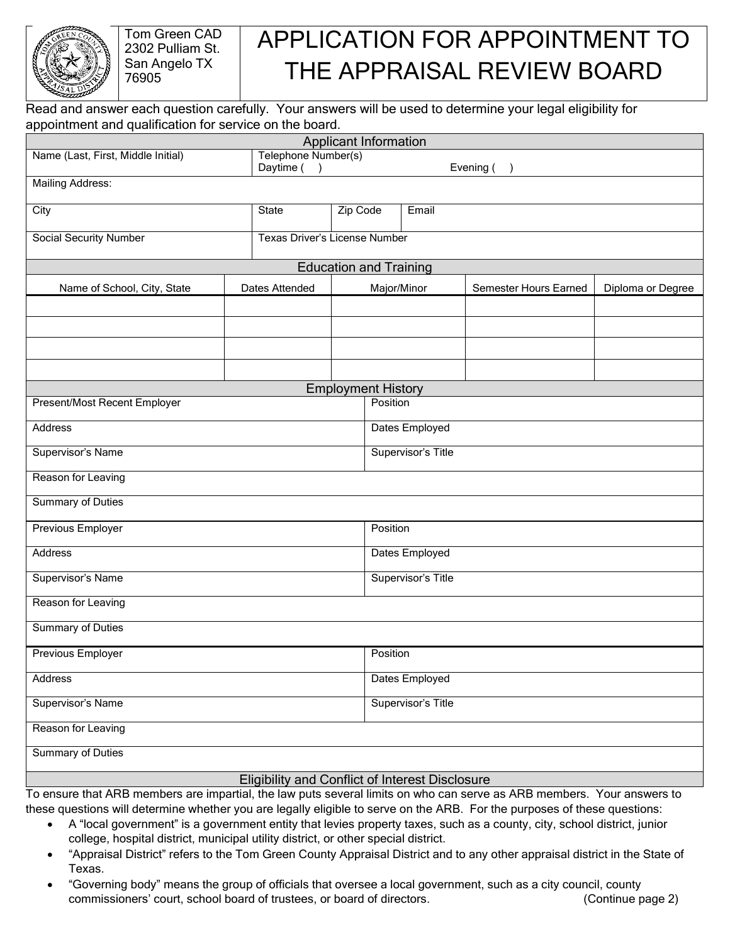

Tom Green CAD 2302 Pulliam St. San Angelo TX 76905

## APPLICATION FOR APPOINTMENT TO THE APPRAISAL REVIEW BOARD

Read and answer each question carefully. Your answers will be used to determine your legal eligibility for appointment and qualification for service on the board.

| <b>Applicant Information</b>                    |                                  |          |                           |                       |                   |  |  |  |
|-------------------------------------------------|----------------------------------|----------|---------------------------|-----------------------|-------------------|--|--|--|
| Name (Last, First, Middle Initial)              | Telephone Number(s)<br>Daytime ( |          | Evening (                 |                       |                   |  |  |  |
| <b>Mailing Address:</b>                         |                                  |          |                           | $\lambda$             |                   |  |  |  |
|                                                 |                                  |          |                           |                       |                   |  |  |  |
| City                                            | State                            | Zip Code | Email                     |                       |                   |  |  |  |
| <b>Social Security Number</b>                   | Texas Driver's License Number    |          |                           |                       |                   |  |  |  |
| <b>Education and Training</b>                   |                                  |          |                           |                       |                   |  |  |  |
| Name of School, City, State                     | Dates Attended                   |          | Major/Minor               | Semester Hours Earned | Diploma or Degree |  |  |  |
|                                                 |                                  |          |                           |                       |                   |  |  |  |
|                                                 |                                  |          |                           |                       |                   |  |  |  |
|                                                 |                                  |          |                           |                       |                   |  |  |  |
|                                                 |                                  |          |                           |                       |                   |  |  |  |
|                                                 |                                  |          | <b>Employment History</b> |                       |                   |  |  |  |
| Present/Most Recent Employer                    |                                  |          | Position                  |                       |                   |  |  |  |
| Address                                         |                                  |          | Dates Employed            |                       |                   |  |  |  |
| Supervisor's Name                               |                                  |          | Supervisor's Title        |                       |                   |  |  |  |
| Reason for Leaving                              |                                  |          |                           |                       |                   |  |  |  |
| <b>Summary of Duties</b>                        |                                  |          |                           |                       |                   |  |  |  |
| Previous Employer                               |                                  |          | Position                  |                       |                   |  |  |  |
| <b>Address</b>                                  |                                  |          | Dates Employed            |                       |                   |  |  |  |
| Supervisor's Name                               |                                  |          | Supervisor's Title        |                       |                   |  |  |  |
| Reason for Leaving                              |                                  |          |                           |                       |                   |  |  |  |
| <b>Summary of Duties</b>                        |                                  |          |                           |                       |                   |  |  |  |
| Previous Employer                               |                                  |          | Position                  |                       |                   |  |  |  |
| Address                                         |                                  |          | Dates Employed            |                       |                   |  |  |  |
| Supervisor's Name                               |                                  |          | Supervisor's Title        |                       |                   |  |  |  |
| Reason for Leaving                              |                                  |          |                           |                       |                   |  |  |  |
| <b>Summary of Duties</b>                        |                                  |          |                           |                       |                   |  |  |  |
| Eligibility and Conflict of Interest Disclosure |                                  |          |                           |                       |                   |  |  |  |

To ensure that ARB members are impartial, the law puts several limits on who can serve as ARB members. Your answers to these questions will determine whether you are legally eligible to serve on the ARB. For the purposes of these questions:

- A "local government" is a government entity that levies property taxes, such as a county, city, school district, junior college, hospital district, municipal utility district, or other special district.
- "Appraisal District" refers to the Tom Green County Appraisal District and to any other appraisal district in the State of Texas.
- "Governing body" means the group of officials that oversee a local government, such as a city council, county commissioners' court, school board of trustees, or board of directors. (Continue page 2)